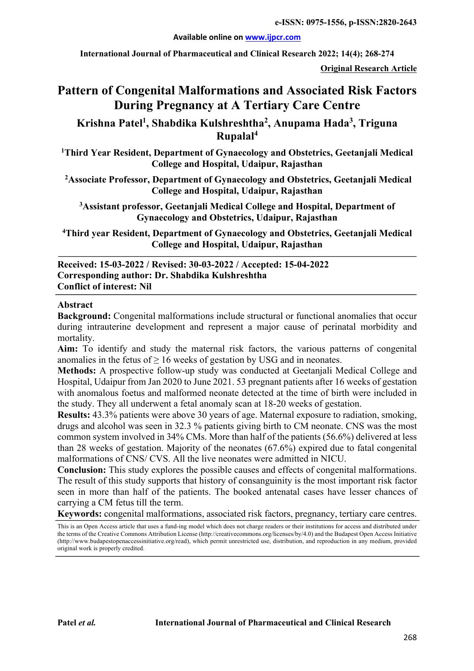**e-ISSN: 0975-1556, p-ISSN:2820-2643**

#### **Available online on www.ijpcr.com**

**International Journal of Pharmaceutical and Clinical Research 2022; 14(4); 268-274**

**Original Research Article**

# **Pattern of Congenital Malformations and Associated Risk Factors During Pregnancy at A Tertiary Care Centre**

**Krishna Patel1 , Shabdika Kulshreshtha2 , Anupama Hada3 , Triguna Rupalal4**

**1 Third Year Resident, Department of Gynaecology and Obstetrics, Geetanjali Medical College and Hospital, Udaipur, Rajasthan**

**2 Associate Professor, Department of Gynaecology and Obstetrics, Geetanjali Medical College and Hospital, Udaipur, Rajasthan** 

**3 Assistant professor, Geetanjali Medical College and Hospital, Department of Gynaecology and Obstetrics, Udaipur, Rajasthan**

**4 Third year Resident, Department of Gynaecology and Obstetrics, Geetanjali Medical College and Hospital, Udaipur, Rajasthan**

#### **Received: 15-03-2022 / Revised: 30-03-2022 / Accepted: 15-04-2022 Corresponding author: Dr. Shabdika Kulshreshtha Conflict of interest: Nil**

#### **Abstract**

**Background:** Congenital malformations include structural or functional anomalies that occur during intrauterine development and represent a major cause of perinatal morbidity and mortality.

**Aim:** To identify and study the maternal risk factors, the various patterns of congenital anomalies in the fetus of  $\geq 16$  weeks of gestation by USG and in neonates.

**Methods:** A prospective follow-up study was conducted at Geetanjali Medical College and Hospital, Udaipur from Jan 2020 to June 2021. 53 pregnant patients after 16 weeks of gestation with anomalous foetus and malformed neonate detected at the time of birth were included in the study. They all underwent a fetal anomaly scan at 18-20 weeks of gestation.

**Results:** 43.3% patients were above 30 years of age. Maternal exposure to radiation, smoking, drugs and alcohol was seen in 32.3 % patients giving birth to CM neonate. CNS was the most common system involved in 34% CMs. More than half of the patients (56.6%) delivered at less than 28 weeks of gestation. Majority of the neonates (67.6%) expired due to fatal congenital malformations of CNS/ CVS. All the live neonates were admitted in NICU.

**Conclusion:** This study explores the possible causes and effects of congenital malformations. The result of this study supports that history of consanguinity is the most important risk factor seen in more than half of the patients. The booked antenatal cases have lesser chances of carrying a CM fetus till the term.

**Keywords:** congenital malformations, associated risk factors, pregnancy, tertiary care centres.

This is an Open Access article that uses a fund-ing model which does not charge readers or their institutions for access and distributed under the terms of the Creative Commons Attribution License (http://creativecommons.org/licenses/by/4.0) and the Budapest Open Access Initiative (http://www.budapestopenaccessinitiative.org/read), which permit unrestricted use, distribution, and reproduction in any medium, provided original work is properly credited.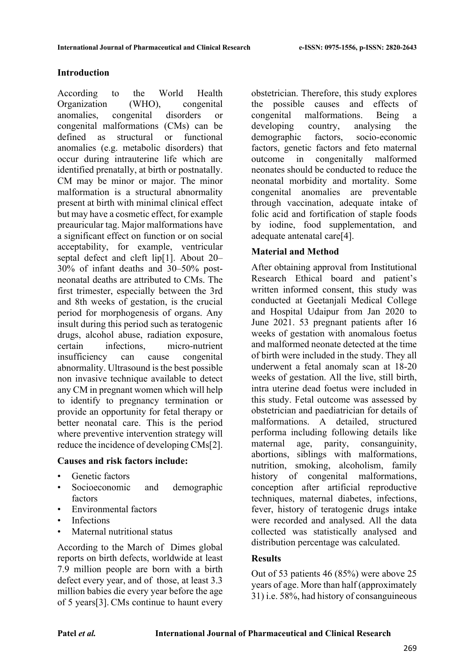## **Introduction**

According to the World Health Organization (WHO), congenital anomalies, congenital disorders or congenital malformations (CMs) can be defined as structural or functional anomalies (e.g. metabolic disorders) that occur during intrauterine life which are identified prenatally, at birth or postnatally. CM may be minor or major. The minor malformation is a structural abnormality present at birth with minimal clinical effect but may have a cosmetic effect, for example preauricular tag. Major malformations have a significant effect on function or on social acceptability, for example, ventricular septal defect and cleft lip[1]. About 20– 30% of infant deaths and 30–50% postneonatal deaths are attributed to CMs. The first trimester, especially between the 3rd and 8th weeks of gestation, is the crucial period for morphogenesis of organs. Any insult during this period such as teratogenic drugs, alcohol abuse, radiation exposure, certain infections, micro-nutrient insufficiency can cause congenital abnormality. Ultrasound is the best possible non invasive technique available to detect any CM in pregnant women which will help to identify to pregnancy termination or provide an opportunity for fetal therapy or better neonatal care. This is the period where preventive intervention strategy will reduce the incidence of developing CMs[2].

## **Causes and risk factors include:**

- Genetic factors
- Socioeconomic and demographic factors
- Environmental factors
- **Infections**
- Maternal nutritional status

According to the March of Dimes global reports on birth defects, worldwide at least 7.9 million people are born with a birth defect every year, and of those, at least 3.3 million babies die every year before the age of 5 years[3]. CMs continue to haunt every

obstetrician. Therefore, this study explores the possible causes and effects of congenital malformations. Being a developing country, analysing the demographic factors, socio-economic factors, genetic factors and feto maternal outcome in congenitally malformed neonates should be conducted to reduce the neonatal morbidity and mortality. Some congenital anomalies are preventable through vaccination, adequate intake of folic acid and fortification of staple foods by iodine, food supplementation, and adequate antenatal care[4].

## **Material and Method**

After obtaining approval from Institutional Research Ethical board and patient's written informed consent, this study was conducted at Geetanjali Medical College and Hospital Udaipur from Jan 2020 to June 2021. 53 pregnant patients after 16 weeks of gestation with anomalous foetus and malformed neonate detected at the time of birth were included in the study. They all underwent a fetal anomaly scan at 18-20 weeks of gestation. All the live, still birth, intra uterine dead foetus were included in this study. Fetal outcome was assessed by obstetrician and paediatrician for details of malformations. A detailed, structured performa including following details like maternal age, parity, consanguinity, abortions, siblings with malformations, nutrition, smoking, alcoholism, family history of congenital malformations, conception after artificial reproductive techniques, maternal diabetes, infections, fever, history of teratogenic drugs intake were recorded and analysed. All the data collected was statistically analysed and distribution percentage was calculated.

## **Results**

Out of 53 patients 46 (85%) were above 25 years of age. More than half (approximately 31) i.e. 58%, had history of consanguineous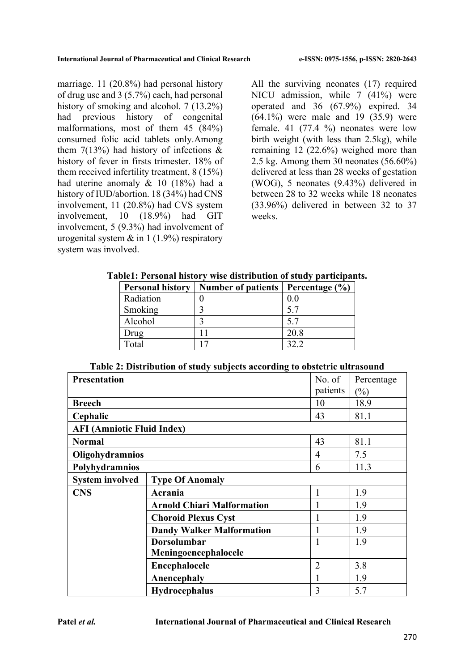marriage. 11 (20.8%) had personal history of drug use and 3 (5.7%) each, had personal history of smoking and alcohol. 7 (13.2%) had previous history of congenital malformations, most of them 45 (84%) consumed folic acid tablets only.Among them  $7(13%)$  had history of infections & history of fever in firsts trimester. 18% of them received infertility treatment, 8 (15%) had uterine anomaly & 10 (18%) had a history of IUD/abortion. 18 (34%) had CNS involvement, 11 (20.8%) had CVS system involvement, 10 (18.9%) had GIT involvement, 5 (9.3%) had involvement of urogenital system  $\&$  in 1 (1.9%) respiratory system was involved.

All the surviving neonates (17) required NICU admission, while 7 (41%) were operated and 36 (67.9%) expired. 34 (64.1%) were male and 19 (35.9) were female. 41 (77.4 %) neonates were low birth weight (with less than 2.5kg), while remaining 12 (22.6%) weighed more than 2.5 kg. Among them 30 neonates (56.60%) delivered at less than 28 weeks of gestation (WOG), 5 neonates (9.43%) delivered in between 28 to 32 weeks while 18 neonates (33.96%) delivered in between 32 to 37 weeks.

| <b>Personal history</b> | <b>Number of patients</b> | Percentage $(\% )$ |
|-------------------------|---------------------------|--------------------|
| Radiation               |                           | 0.0                |
| Smoking                 |                           | 5.7                |
| Alcohol                 |                           | 5.7                |
| Drug                    |                           | 20.8               |
| Total                   |                           | 32 Z               |

**Table1: Personal history wise distribution of study participants.**

| Table 2: Distribution of study subjects according to obstetric ultrasound |  |  |  |  |  |  |  |  |
|---------------------------------------------------------------------------|--|--|--|--|--|--|--|--|
|---------------------------------------------------------------------------|--|--|--|--|--|--|--|--|

| <b>Presentation</b>               |                                   | No. of         | Percentage |
|-----------------------------------|-----------------------------------|----------------|------------|
|                                   |                                   | patients       | $(\%)$     |
| <b>Breech</b>                     |                                   | 10             | 18.9       |
| Cephalic                          |                                   | 43             | 81.1       |
| <b>AFI (Amniotic Fluid Index)</b> |                                   |                |            |
| <b>Normal</b>                     |                                   | 43             | 81.1       |
| Oligohydramnios                   |                                   | 4              | 7.5        |
| Polyhydramnios                    |                                   | 6              | 11.3       |
| <b>System involved</b>            | <b>Type Of Anomaly</b>            |                |            |
| <b>CNS</b>                        | Acrania                           | 1              | 1.9        |
|                                   | <b>Arnold Chiari Malformation</b> |                | 1.9        |
|                                   | <b>Choroid Plexus Cyst</b>        |                | 1.9        |
|                                   | <b>Dandy Walker Malformation</b>  |                | 1.9        |
|                                   | <b>Dorsolumbar</b>                |                | 1.9        |
|                                   | Meningoencephalocele              |                |            |
|                                   | Encephalocele                     | $\overline{2}$ | 3.8        |
|                                   | Anencephaly                       |                | 1.9        |
|                                   | <b>Hydrocephalus</b>              | 3              | 5.7        |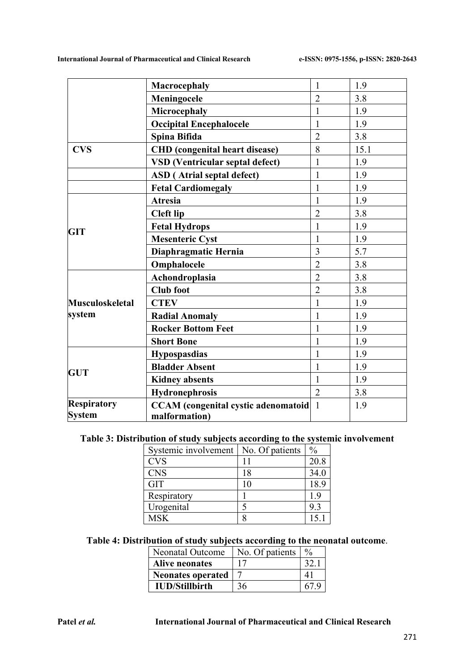|                    | <b>Macrocephaly</b>                        | $\mathbf{1}$   | 1.9  |
|--------------------|--------------------------------------------|----------------|------|
|                    | Meningocele                                | $\overline{2}$ | 3.8  |
|                    | Microcephaly                               | $\mathbf{1}$   | 1.9  |
|                    | <b>Occipital Encephalocele</b>             | $\mathbf{1}$   | 1.9  |
|                    | Spina Bifida                               | $\overline{2}$ | 3.8  |
| <b>CVS</b>         | <b>CHD</b> (congenital heart disease)      | 8              | 15.1 |
|                    | <b>VSD</b> (Ventricular septal defect)     | 1              | 1.9  |
|                    | <b>ASD</b> (Atrial septal defect)          | 1              | 1.9  |
|                    | <b>Fetal Cardiomegaly</b>                  | 1              | 1.9  |
|                    | <b>Atresia</b>                             | 1              | 1.9  |
|                    | <b>Cleft lip</b>                           | $\overline{2}$ | 3.8  |
| <b>GIT</b>         | <b>Fetal Hydrops</b>                       | $\mathbf{1}$   | 1.9  |
|                    | <b>Mesenteric Cyst</b>                     | 1              | 1.9  |
|                    | Diaphragmatic Hernia                       | 3              | 5.7  |
|                    | Omphalocele                                | $\overline{2}$ | 3.8  |
|                    | Achondroplasia                             | $\overline{2}$ | 3.8  |
|                    | <b>Club</b> foot                           | $\overline{2}$ | 3.8  |
| Musculoskeletal    | <b>CTEV</b>                                | $\mathbf{1}$   | 1.9  |
| system             | <b>Radial Anomaly</b>                      | 1              | 1.9  |
|                    | <b>Rocker Bottom Feet</b>                  | 1              | 1.9  |
|                    | <b>Short Bone</b>                          | 1              | 1.9  |
|                    | <b>Hypospasdias</b>                        | $\mathbf{1}$   | 1.9  |
| <b>GUT</b>         | <b>Bladder Absent</b>                      |                | 1.9  |
|                    | <b>Kidney absents</b>                      | $\mathbf{1}$   | 1.9  |
|                    | <b>Hydronephrosis</b>                      | $\overline{2}$ | 3.8  |
| <b>Respiratory</b> | <b>CCAM</b> (congenital cystic adenomatoid | $\mathbf{1}$   | 1.9  |
| <b>System</b>      | malformation)                              |                |      |

# **Table 3: Distribution of study subjects according to the systemic involvement**

| Systemic involvement   No. Of patients |    | $\frac{0}{0}$ |
|----------------------------------------|----|---------------|
| <b>CVS</b>                             |    | 20.8          |
| <b>CNS</b>                             | 18 | 34.0          |
| <b>GIT</b>                             | 10 | 18.9          |
| Respiratory                            |    | 1.9           |
| Urogenital                             |    | 9.3           |
| <b>MSK</b>                             |    | 15.1          |

## **Table 4: Distribution of study subjects according to the neonatal outcome**.

| Neonatal Outcome         | No. Of patients | $\frac{0}{0}$ |
|--------------------------|-----------------|---------------|
| <b>Alive neonates</b>    |                 | 32.           |
| <b>Neonates operated</b> |                 |               |
| <b>IUD/Stillbirth</b>    | 36              |               |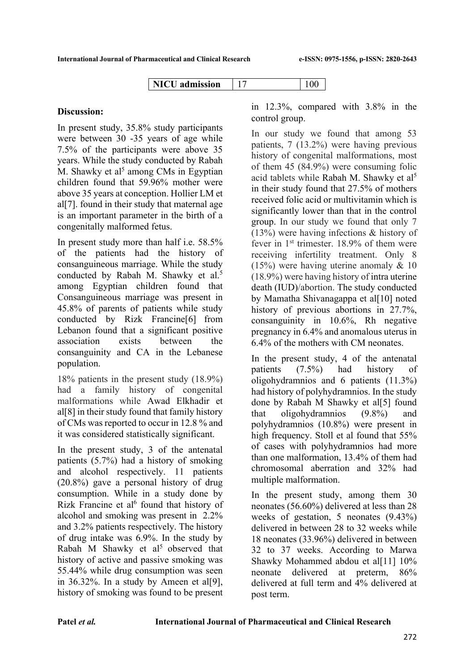| NICU.<br>admission |  |  |  |
|--------------------|--|--|--|
|--------------------|--|--|--|

### **Discussion:**

In present study, 35.8% study participants were between 30 -35 years of age while 7.5% of the participants were above 35 years. While the study conducted by Rabah M. Shawky et al<sup>5</sup> among CMs in Egyptian children found that 59.96% mother were above 35 years at conception. Hollier LM et al[7]. found in their study that maternal age is an important parameter in the birth of a congenitally malformed fetus.

In present study more than half i.e. 58.5% of the patients had the history of consanguineous marriage. While the study conducted by Rabah M. Shawky et al.<sup>5</sup> among Egyptian children found that Consanguineous marriage was present in 45.8% of parents of patients while study conducted by Rizk Francine[6] from Lebanon found that a significant positive association exists between the consanguinity and CA in the Lebanese population.

18% patients in the present study (18.9%) had a family history of congenital malformations while Awad Elkhadir et al[8] in their study found that family history of CMs was reported to occur in 12.8 % and it was considered statistically significant.

In the present study, 3 of the antenatal patients (5.7%) had a history of smoking and alcohol respectively. 11 patients (20.8%) gave a personal history of drug consumption. While in a study done by Rizk Francine et al<sup>6</sup> found that history of alcohol and smoking was present in 2.2% and 3.2% patients respectively. The history of drug intake was 6.9%. In the study by Rabah M Shawky et al<sup>5</sup> observed that history of active and passive smoking was 55.44% while drug consumption was seen in  $36.32\%$ . In a study by Ameen et all<sup>[9]</sup>, history of smoking was found to be present

in 12.3%, compared with 3.8% in the control group.

In our study we found that among 53 patients, 7 (13.2%) were having previous history of congenital malformations, most of them 45 (84.9%) were consuming folic acid tablets while Rabah M. Shawky et al<sup>5</sup> in their study found that 27.5% of mothers received folic acid or multivitamin which is significantly lower than that in the control group. In our study we found that only 7 (13%) were having infections & history of fever in 1st trimester. 18.9% of them were receiving infertility treatment. Only 8  $(15%)$  were having uterine anomaly & 10 (18.9%) were having history of intra uterine death (IUD)/abortion. The study conducted by Mamatha Shivanagappa et al[10] noted history of previous abortions in 27.7%, consanguinity in 10.6%, Rh negative pregnancy in 6.4% and anomalous uterus in 6.4% of the mothers with CM neonates.

In the present study, 4 of the antenatal patients (7.5%) had history of oligohydramnios and 6 patients (11.3%) had history of polyhydramnios. In the study done by Rabah M Shawky et al[5] found that oligohydramnios (9.8%) and polyhydramnios (10.8%) were present in high frequency. Stoll et al found that 55% of cases with polyhydramnios had more than one malformation, 13.4% of them had chromosomal aberration and 32% had multiple malformation.

In the present study, among them 30 neonates (56.60%) delivered at less than 28 weeks of gestation, 5 neonates (9.43%) delivered in between 28 to 32 weeks while 18 neonates (33.96%) delivered in between 32 to 37 weeks. According to Marwa Shawky Mohammed abdou et al[11] 10% neonate delivered at preterm, 86% delivered at full term and 4% delivered at post term.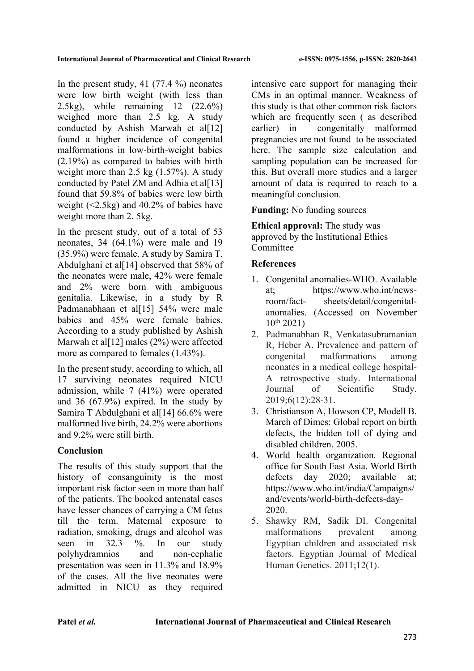In the present study, 41  $(77.4\%)$  neonates were low birth weight (with less than 2.5kg), while remaining 12 (22.6%) weighed more than 2.5 kg. A study conducted by Ashish Marwah et al[12] found a higher incidence of congenital malformations in low-birth-weight babies (2.19%) as compared to babies with birth weight more than 2.5 kg (1.57%). A study conducted by Patel ZM and Adhia et al<sup>[13]</sup> found that 59.8% of babies were low birth weight (<2.5kg) and 40.2% of babies have weight more than 2. 5kg.

In the present study, out of a total of 53 neonates, 34 (64.1%) were male and 19 (35.9%) were female. A study by Samira T. Abdulghani et al[14] observed that 58% of the neonates were male, 42% were female and 2% were born with ambiguous genitalia. Likewise, in a study by R Padmanabhaan et al[15] 54% were male babies and 45% were female babies. According to a study published by Ashish Marwah et al<sup>[12]</sup> males (2%) were affected more as compared to females (1.43%).

In the present study, according to which, all 17 surviving neonates required NICU admission, while 7 (41%) were operated and 36 (67.9%) expired. In the study by Samira T Abdulghani et al[14] 66.6% were malformed live birth, 24.2% were abortions and 9.2% were still birth.

# **Conclusion**

The results of this study support that the history of consanguinity is the most important risk factor seen in more than half of the patients. The booked antenatal cases have lesser chances of carrying a CM fetus till the term. Maternal exposure to radiation, smoking, drugs and alcohol was seen in 32.3 %. In our study polyhydramnios and non-cephalic presentation was seen in 11.3% and 18.9% of the cases. All the live neonates were admitted in NICU as they required

intensive care support for managing their CMs in an optimal manner. Weakness of this study is that other common risk factors which are frequently seen ( as described earlier) in congenitally malformed pregnancies are not found to be associated here. The sample size calculation and sampling population can be increased for this. But overall more studies and a larger amount of data is required to reach to a meaningful conclusion.

**Funding:** No funding sources

**Ethical approval:** The study was approved by the Institutional Ethics Committee

# **References**

- 1. Congenital anomalies-WHO. Available at; https://www.who.int/newsroom/fact- sheets/detail/congenitalanomalies. (Accessed on November  $10^{th}$  2021)
- 2. Padmanabhan R, Venkatasubramanian R, Heber A. Prevalence and pattern of congenital malformations among neonates in a medical college hospital-A retrospective study. International Journal of Scientific Study. 2019;6(12):28-31.
- 3. Christianson A, Howson CP, Modell B. March of Dimes: Global report on birth defects, the hidden toll of dying and disabled children. 2005.
- 4. World health organization. Regional office for South East Asia. World Birth defects day 2020; available at: https://www.who.int/india/Campaigns/ and/events/world-birth-defects-day-2020.
- 5. Shawky RM, Sadik DI. Congenital malformations prevalent among Egyptian children and associated risk factors. Egyptian Journal of Medical Human Genetics. 2011;12(1).